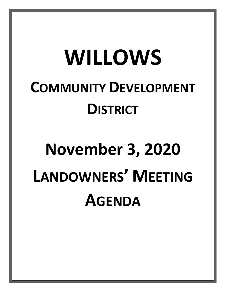# **WILLOWS COMMUNITY DEVELOPMENT DISTRICT**

# **November 3, 2020 LANDOWNERS' MEETING AGENDA**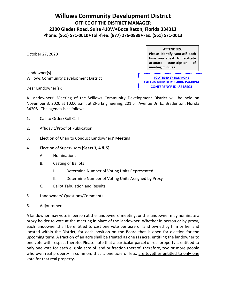### **Willows Community Development District OFFICE OF THE DISTRICT MANAGER 2300 Glades Road, Suite 410W●Boca Raton, Florida 334313 Phone: (561) 571-0010●Toll-free: (877) 276-0889●Fax: (561) 571-0013**

October 27, 2020

**ATTENDEES: Please identify yourself each time you speak to facilitate accurate transcription of meeting minutes.**

Landowner(s) Willows Community Development District **TO ATTEND BY TELEPHONE CALL-IN NUMBER: 1-888-354-0094 CONFERENCE ID: 8518503**

Dear Landowner(s):

A Landowners' Meeting of the Willows Community Development District will be held on November 3, 2020 at 10:00 a.m., at ZNS Engineering, 201 5<sup>th</sup> Avenue Dr. E., Bradenton, Florida 34208. The agenda is as follows:

- 1. Call to Order/Roll Call
- 2. Affidavit/Proof of Publication
- 3. Election of Chair to Conduct Landowners' Meeting
- 4. Election of Supervisors **[Seats 3, 4 & 5]**
	- A. Nominations
	- B. Casting of Ballots
		- I. Determine Number of Voting Units Represented
		- II. Determine Number of Voting Units Assigned by Proxy
	- C. Ballot Tabulation and Results
- 5. Landowners' Questions/Comments
- 6. Adjournment

A landowner may vote in person at the landowners' meeting, or the landowner may nominate a proxy holder to vote at the meeting in place of the landowner. Whether in person or by proxy, each landowner shall be entitled to cast one vote per acre of land owned by him or her and located within the District, for each position on the Board that is open for election for the upcoming term. A fraction of an acre shall be treated as one (1) acre, entitling the landowner to one vote with respect thereto. Please note that a particular parcel of real property is entitled to only one vote for each eligible acre of land or fraction thereof; therefore, two or more people who own real property in common, that is one acre or less, are together entitled to only one vote for that real property**.**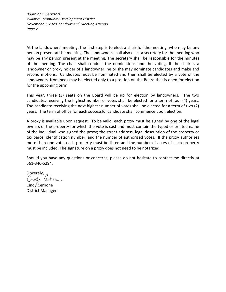*Board of Supervisors Willows Community Development District November 3, 2020, Landowners' Meeting Agenda Page 2*

At the landowners' meeting, the first step is to elect a chair for the meeting, who may be any person present at the meeting. The landowners shall also elect a secretary for the meeting who may be any person present at the meeting. The secretary shall be responsible for the minutes of the meeting. The chair shall conduct the nominations and the voting. If the chair is a landowner or proxy holder of a landowner, he or she may nominate candidates and make and second motions. Candidates must be nominated and then shall be elected by a vote of the landowners. Nominees may be elected only to a position on the Board that is open for election for the upcoming term.

This year, three (3) seats on the Board will be up for election by landowners. The two candidates receiving the highest number of votes shall be elected for a term of four (4) years. The candidate receiving the next highest number of votes shall be elected for a term of two (2) years. The term of office for each successful candidate shall commence upon election.

A proxy is available upon request. To be valid, each proxy must be signed by one of the legal owners of the property for which the vote is cast and must contain the typed or printed name of the individual who signed the proxy; the street address, legal description of the property or tax parcel identification number; and the number of authorized votes. If the proxy authorizes more than one vote, each property must be listed and the number of acres of each property must be included. The signature on a proxy does not need to be notarized.

Should you have any questions or concerns, please do not hesitate to contact me directly at 561-346-5294.

Sincerely, Cindy Cerbone

Cind $\sqrt{\mathcal{L}}$ erbone District Manager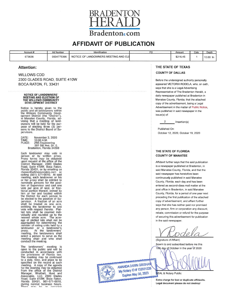

## **AFFIDAVIT OF PUBLICATION**

| Account # | Ad Number  | Identification                              | הה | Amount   | Cols | Depth              |
|-----------|------------|---------------------------------------------|----|----------|------|--------------------|
| 673636    | 0004775396 | F LANDOWNERS MEETING AND ELE<br>NOTICE OF L |    | \$216.45 |      | 10.00<br><b>In</b> |

#### **Attention:**

**WILLOWS CDD** 2300 GLADES ROAD, SUITE 410W BOCA RATON, FL 33431

#### **NOTICE OF LANDOWNERS'** MEETING AND ELECTION OF<br>THE WILLOWS COMMUNITY DEVELOPMENT DISTRICT

Notice is hereby given to the<br>public and all landowners within<br>the Willows Community Devel-<br>opment District (the "District"),<br>in Manatee County, Florida, ad-<br>vising that a meeting of land-<br>owners will be held for the purpose of electing three (3) per-<br>sons to the District Board of Supervisors.

| DATE:  | November 3, 2020         |
|--------|--------------------------|
| TIME:  | 10:00 A.M.               |
| PLACE: | <b>ZNS Engineering</b>   |
|        | 201 5th Ave. Dr. E.      |
|        | Bradenton, Florida 34208 |

Each landowner may vote in<br>person or by written proxy.<br>Proxy forms may be obtained<br>upon request at the office of the<br>District Manager, 2300 Glades<br>Road, Suite 410W, Boca Raton,<br>Road, Suite 410W, Boca Raton, Florida 33431, or by emailing ce rbonec@whhassociates.com or<br>calling (561) 571-0010. At said<br>meeting, each landowner or his or her proxy shall be entitled to nominate persons for the position of Supervisor and cast one<br>vote per acre of land, or fracvoie per acte of land, or liads<br>thin or her and located within<br>the District for each person to<br>be elected to the position of Sube enceived to the business and access shall be treated as one acre,<br>shall be treated as one acre,<br>entitling the landowner to one<br>vote with respect thereto. Platted lots shall be counted individually and rounded up to the<br>nearest whole acre. The acrenearest whole acre. The acre-<br>age of platted lots shall not be age or platted for determining the<br>number of voting units held by a<br>landowner or a landowner's<br>proxy. At the landowners' landowner or a landowner's<br>proxy. At the landowners'<br>meeting, the landowners shall select a person to serve as the<br>meeting chair and who shall<br>conduct the meeting.

The landowners' meeting is<br>open to the public and will be<br>conducted in accordance with<br>the provisions of Florida law.<br>The meeting may be continued<br>to a date, time, and place to be<br>to a different may be continued specified on the record at such specified on the record at such<br>for the meeting may be obtained<br>from the office of the District<br>Manager, Wrathell, Hunt and<br>Associates, LLC, 2300 Glades<br>Road, Suite 410W, Boca Raton,<br>Florida 33431, 561-571-0010,<br>direction during normal business hours.

#### THE STATE OF TEXAS **COUNTY OF DALLAS**

Before the undersigned authority personally appeared VICTORIA RODELA, who, on oath, says that she is a Legal Advertising Representative of The Bradenton Herald, a daily newspaper published at Bradenton in Manatee County, Florida; that the attached copy of the advertisement, being a Legal Advertisement in the matter of Public Notice, was published in said newspaper in the issue(s) of:

2 Insertion(s)

Published On: October 12, 2020, October 19, 2020

#### THE STATE OF FLORIDA **COUNTY OF MANATEE**

Affidavit further says that the said publication is a newspaper published at Bradenton, in said Manatee County, Florida, and that the said newspaper has heretofore been continuously published in said Manatee County, Florida, each day and has been entered as second-class mail matter at the post office in Bradenton, in said Manatee County, Florida, for a period of one year next preceding the first publication of the attached copy of advertisement; and affiant further says that she has neither paid nor promised any person, firm or corporation any discount, rebate, commission or refund for the purpose of securing this advertisement for publication in the said newspaper.

(Signature of Affiant) Sowrn to and subscribed before me this 19th day of October in the year of 2020

AMANDA DAWN GRISHAN My Notary ID # 132031326 Expires May 30, 2023

**EAL & Notary Public** 

Extra charge for lost or duplicate affidavits. Legal document please do not destroy!

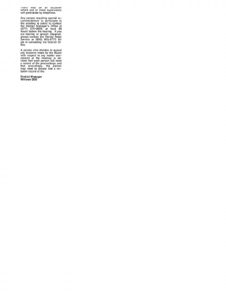There analy the art occasion<br>where one or more supervisors<br>will participate by telephone.

Any person requiring special accommodations to participate in<br>the meeting is asked to contact<br>the District Manager's Office at<br>(877) 276-0889, at least 48<br>hours before the hearing, if you<br>are hearing or speech impaired,<br>pl

A person who decides to appeal<br>any decision made by the Board<br>with respect to any matter con-<br>sidered at the meeting is ad-<br>vised that such person will need<br>a record of the proceedings and<br>that accordingly, the person<br>may

District Manager<br>Willows CDD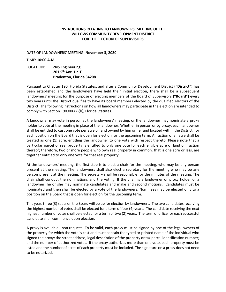#### **INSTRUCTIONS RELATING TO LANDOWNERS' MEETING OF THE WILLOWS COMMUNITY DEVELOPMENT DISTRICT FOR THE ELECTION OF SUPERVISORS**

DATE OF LANDOWNERS' MEETING: **November 3, 2020** 

#### TIME: **10:00 A.M.**

#### LOCATION: **ZNS Engineering 201 5th Ave. Dr. E. Bradenton, Florida 34208**

 Pursuant to Chapter 190, Florida Statutes, and after a Community Development District **("District")** has been established and the landowners have held their initial election, there shall be a subsequent landowners' meeting for the purpose of electing members of the Board of Supervisors **("Board")** every two years until the District qualifies to have its board members elected by the qualified electors of the District. The following instructions on how all landowners may participate in the election are intended to comply with Section 190.006(2)(b), Florida Statutes.

 A landowner may vote in person at the landowners' meeting, or the landowner may nominate a proxy shall be entitled to cast one vote per acre of land owned by him or her and located within the District, for each position on the Board that is open for election for the upcoming term. A fraction of an acre shall be treated as one (1) acre, entitling the landowner to one vote with respect thereto. Please note that a particular parcel of real property is entitled to only one vote for each eligible acre of land or fraction thereof; therefore, two or more people who own real property in common, that is one acre or less, <u>are</u> holder to vote at the meeting in place of the landowner. Whether in person or by proxy, each landowner together entitled to only one vote for that real property**.** 

 At the landowners' meeting, the first step is to elect a chair for the meeting, who may be any person present at the meeting. The landowners shall also elect a secretary for the meeting who may be any chair shall conduct the nominations and the voting. If the chair is a landowner or proxy holder of a landowner, he or she may nominate candidates and make and second motions. Candidates must be nominated and then shall be elected by a vote of the landowners. Nominees may be elected only to a person present at the meeting. The secretary shall be responsible for the minutes of the meeting. The position on the Board that is open for election for the upcoming term.

 This year, three (3) seats on the Board will be up for election by landowners. The two candidates receiving the highest number of votes shall be elected for a term of four (4) years. The candidate receiving the next highest number of votes shall be elected for a term of two (2) years. The term of office for each successful candidate shall commence upon election.

A proxy is available upon request. To be valid, each proxy must be signed by <u>one</u> of the legal owners of signed the proxy; the street address, legal description of the property or tax parcel identification number; and the number of authorized votes. If the proxy authorizes more than one vote, each property must be listed and the number of acres of each property must be included. The signature on a proxy does not need the property for which the vote is cast and must contain the typed or printed name of the individual who to be notarized.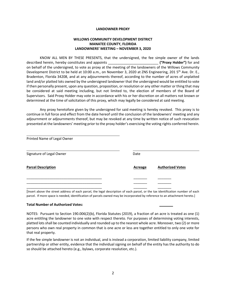#### **LANDOWNER PROXY**

#### **LANDOWNERS' MEETING – NOVEMBER 3, 2020 WILLOWS COMMUNITY DEVELOPMENT DISTRICT MANATEE COUNTY, FLORIDA**

 KNOW ALL MEN BY THESE PRESENTS, that the undersigned, the fee simple owner of the lands on behalf of the undersigned, to vote as proxy at the meeting of the landowners of the Willows Community Development District to be held at 10:00 a.m., on November 3, 2020 at ZNS Engineering, 201 5<sup>th</sup> Ave. Dr. E., Bradenton, Florida 34208, and at any adjournments thereof, according to the number of acres of unplatted land and/or platted lots owned by the undersigned landowner that the undersigned would be entitled to vote if then personally present, upon any question, proposition, or resolution or any other matter or thing that may be considered at said meeting including, but not limited to, the election of members of the Board of Supervisors. Said Proxy Holder may vote in accordance with his or her discretion on all matters not known or described herein, hereby constitutes and appoints \_\_\_\_\_\_\_\_\_\_\_\_\_\_\_\_\_\_\_\_\_\_\_\_\_\_ **("Proxy Holder")** for and determined at the time of solicitation of this proxy, which may legally be considered at said meeting.

 Any proxy heretofore given by the undersigned for said meeting is hereby revoked. This proxy is to continue in full force and effect from the date hereof until the conclusion of the landowners' meeting and any adjournment or adjournments thereof, but may be revoked at any time by written notice of such revocation presented at the landowners' meeting prior to the proxy holder's exercising the voting rights conferred herein.

| Printed Name of Legal Owner |                |                         |
|-----------------------------|----------------|-------------------------|
| Signature of Legal Owner    | Date           |                         |
| <b>Parcel Description</b>   | <b>Acreage</b> | <b>Authorized Votes</b> |
|                             |                |                         |
|                             |                |                         |
|                             |                |                         |

 [Insert above the street address of each parcel, the legal description of each parcel, or the tax identification number of each parcel. If more space is needed, identification of parcels owned may be incorporated by reference to an attachment hereto.]

#### **Total Number of Authorized Votes: \_\_\_\_\_\_\_**

 NOTES: Pursuant to Section 190.006(2)(b), Florida Statutes (2019), a fraction of an acre is treated as one (1) acre entitling the landowner to one vote with respect thereto. For purposes of determining voting interests, platted lots shall be counted individually and rounded up to the nearest whole acre. Moreover, two (2) or more persons who own real property in common that is one acre or less are together entitled to only one vote for that real property.

 partnership or other entity, evidence that the individual signing on behalf of the entity has the authority to do If the fee simple landowner is not an individual, and is instead a corporation, limited liability company, limited so should be attached hereto (e.g., bylaws, corporate resolution, etc.).